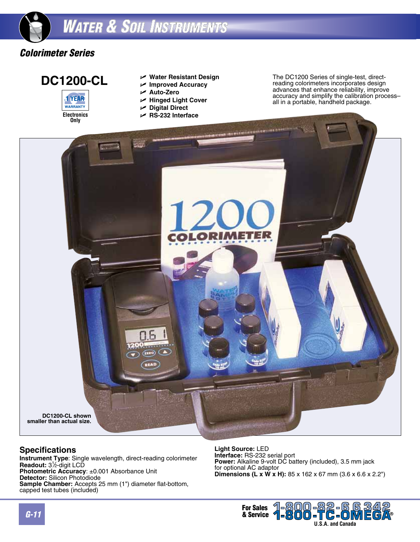## *Colorimeter Series*



### **Specifications**

**Instrument Type**: Single wavelength, direct-reading colorimeter Readout: 3<sup>1</sup>/<sub>2</sub>-digit LCD **Photometric Accuracy**: ±0.001 Absorbance Unit **Detector:** Silicon Photodiode **Sample Chamber:** Accepts 25 mm (1") diameter flat-bottom, capped test tubes (included)

**Light Source:** LED **Interface:** RS-232 serial port **Power:** Alkaline 9-volt DC battery (included), 3.5 mm jack for optional AC adaptor **Dimensions (L x W x H):** 85 x 162 x 67 mm (3.6 x 6.6 x 2.2")

1-800-82-6<br>**1-800-TC-0** 

For Sales & Service

**U.S.A. and Canada**